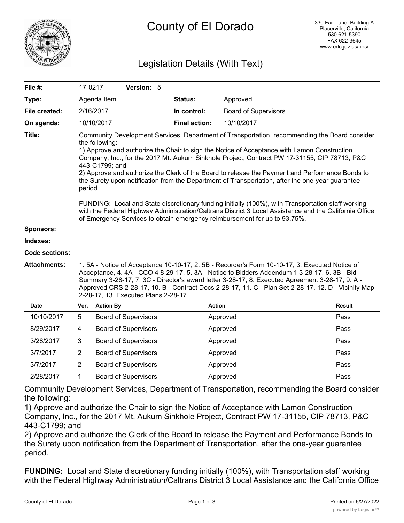

# Legislation Details (With Text)

| File #:             | 17-0217                                                                                                                                                                                                                                                                                                                                                                                                                                                                                                                                                                                                                                                                                                                                                                                                                                         |                  | Version: 5                  |  |                      |                             |               |
|---------------------|-------------------------------------------------------------------------------------------------------------------------------------------------------------------------------------------------------------------------------------------------------------------------------------------------------------------------------------------------------------------------------------------------------------------------------------------------------------------------------------------------------------------------------------------------------------------------------------------------------------------------------------------------------------------------------------------------------------------------------------------------------------------------------------------------------------------------------------------------|------------------|-----------------------------|--|----------------------|-----------------------------|---------------|
| Type:               |                                                                                                                                                                                                                                                                                                                                                                                                                                                                                                                                                                                                                                                                                                                                                                                                                                                 | Agenda Item      |                             |  | Status:              | Approved                    |               |
| File created:       |                                                                                                                                                                                                                                                                                                                                                                                                                                                                                                                                                                                                                                                                                                                                                                                                                                                 | 2/16/2017        |                             |  | In control:          | <b>Board of Supervisors</b> |               |
| On agenda:          |                                                                                                                                                                                                                                                                                                                                                                                                                                                                                                                                                                                                                                                                                                                                                                                                                                                 | 10/10/2017       |                             |  | <b>Final action:</b> | 10/10/2017                  |               |
| Title:              | Community Development Services, Department of Transportation, recommending the Board consider<br>the following:<br>1) Approve and authorize the Chair to sign the Notice of Acceptance with Lamon Construction<br>Company, Inc., for the 2017 Mt. Aukum Sinkhole Project, Contract PW 17-31155, CIP 78713, P&C<br>443-C1799; and<br>2) Approve and authorize the Clerk of the Board to release the Payment and Performance Bonds to<br>the Surety upon notification from the Department of Transportation, after the one-year guarantee<br>period.<br>FUNDING: Local and State discretionary funding initially (100%), with Transportation staff working<br>with the Federal Highway Administration/Caltrans District 3 Local Assistance and the California Office<br>of Emergency Services to obtain emergency reimbursement for up to 93.75%. |                  |                             |  |                      |                             |               |
| <b>Sponsors:</b>    |                                                                                                                                                                                                                                                                                                                                                                                                                                                                                                                                                                                                                                                                                                                                                                                                                                                 |                  |                             |  |                      |                             |               |
| Indexes:            |                                                                                                                                                                                                                                                                                                                                                                                                                                                                                                                                                                                                                                                                                                                                                                                                                                                 |                  |                             |  |                      |                             |               |
| Code sections:      |                                                                                                                                                                                                                                                                                                                                                                                                                                                                                                                                                                                                                                                                                                                                                                                                                                                 |                  |                             |  |                      |                             |               |
| <b>Attachments:</b> | 1.5A - Notice of Acceptance 10-10-17, 2.5B - Recorder's Form 10-10-17, 3. Executed Notice of<br>Acceptance, 4. 4A - CCO 4 8-29-17, 5. 3A - Notice to Bidders Addendum 1 3-28-17, 6. 3B - Bid<br>Summary 3-28-17, 7. 3C - Director's award letter 3-28-17, 8. Executed Agreement 3-28-17, 9. A -<br>Approved CRS 2-28-17, 10. B - Contract Docs 2-28-17, 11. C - Plan Set 2-28-17, 12. D - Vicinity Map<br>2-28-17, 13. Executed Plans 2-28-17                                                                                                                                                                                                                                                                                                                                                                                                   |                  |                             |  |                      |                             |               |
| <b>Date</b>         | Ver.                                                                                                                                                                                                                                                                                                                                                                                                                                                                                                                                                                                                                                                                                                                                                                                                                                            | <b>Action By</b> |                             |  |                      | <b>Action</b>               | <b>Result</b> |
| 10/10/2017          | 5                                                                                                                                                                                                                                                                                                                                                                                                                                                                                                                                                                                                                                                                                                                                                                                                                                               |                  | <b>Board of Supervisors</b> |  |                      | Approved                    | Pass          |
| 8/29/2017           | 4                                                                                                                                                                                                                                                                                                                                                                                                                                                                                                                                                                                                                                                                                                                                                                                                                                               |                  | <b>Board of Supervisors</b> |  |                      | Approved                    | Pass          |
| 3/28/2017           | 3                                                                                                                                                                                                                                                                                                                                                                                                                                                                                                                                                                                                                                                                                                                                                                                                                                               |                  | <b>Board of Supervisors</b> |  |                      | Approved                    | Pass          |
| 3/7/2017            | $\overline{2}$                                                                                                                                                                                                                                                                                                                                                                                                                                                                                                                                                                                                                                                                                                                                                                                                                                  |                  | <b>Board of Supervisors</b> |  |                      | Approved                    | Pass          |
| 3/7/2017            | $\overline{2}$                                                                                                                                                                                                                                                                                                                                                                                                                                                                                                                                                                                                                                                                                                                                                                                                                                  |                  | <b>Board of Supervisors</b> |  |                      | Approved                    | Pass          |
| 2/28/2017           | 1                                                                                                                                                                                                                                                                                                                                                                                                                                                                                                                                                                                                                                                                                                                                                                                                                                               |                  | <b>Board of Supervisors</b> |  |                      | Approved                    | Pass          |

Community Development Services, Department of Transportation, recommending the Board consider the following:

1) Approve and authorize the Chair to sign the Notice of Acceptance with Lamon Construction Company, Inc., for the 2017 Mt. Aukum Sinkhole Project, Contract PW 17-31155, CIP 78713, P&C 443-C1799; and

2) Approve and authorize the Clerk of the Board to release the Payment and Performance Bonds to the Surety upon notification from the Department of Transportation, after the one-year guarantee period.

**FUNDING:** Local and State discretionary funding initially (100%), with Transportation staff working with the Federal Highway Administration/Caltrans District 3 Local Assistance and the California Office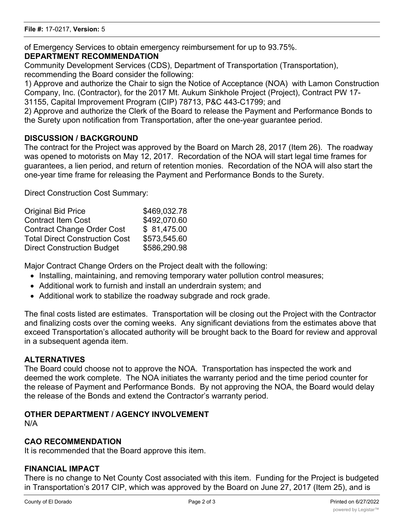of Emergency Services to obtain emergency reimbursement for up to 93.75%. **DEPARTMENT RECOMMENDATION**

Community Development Services (CDS), Department of Transportation (Transportation), recommending the Board consider the following:

1) Approve and authorize the Chair to sign the Notice of Acceptance (NOA) with Lamon Construction Company, Inc. (Contractor), for the 2017 Mt. Aukum Sinkhole Project (Project), Contract PW 17- 31155, Capital Improvement Program (CIP) 78713, P&C 443-C1799; and

2) Approve and authorize the Clerk of the Board to release the Payment and Performance Bonds to the Surety upon notification from Transportation, after the one-year guarantee period.

# **DISCUSSION / BACKGROUND**

The contract for the Project was approved by the Board on March 28, 2017 (Item 26)*.* The roadway was opened to motorists on May 12, 2017*.* Recordation of the NOA will start legal time frames for guarantees, a lien period, and return of retention monies. Recordation of the NOA will also start the one-year time frame for releasing the Payment and Performance Bonds to the Surety.

Direct Construction Cost Summary:

| <b>Original Bid Price</b>             | \$469,032.78 |
|---------------------------------------|--------------|
| <b>Contract Item Cost</b>             | \$492,070.60 |
| <b>Contract Change Order Cost</b>     | \$81,475.00  |
| <b>Total Direct Construction Cost</b> | \$573,545.60 |
| <b>Direct Construction Budget</b>     | \$586,290.98 |

Major Contract Change Orders on the Project dealt with the following:

- · Installing, maintaining, and removing temporary water pollution control measures;
- · Additional work to furnish and install an underdrain system; and
- Additional work to stabilize the roadway subgrade and rock grade.

The final costs listed are estimates. Transportation will be closing out the Project with the Contractor and finalizing costs over the coming weeks. Any significant deviations from the estimates above that exceed Transportation's allocated authority will be brought back to the Board for review and approval in a subsequent agenda item.

#### **ALTERNATIVES**

The Board could choose not to approve the NOA. Transportation has inspected the work and deemed the work complete. The NOA initiates the warranty period and the time period counter for the release of Payment and Performance Bonds. By not approving the NOA, the Board would delay the release of the Bonds and extend the Contractor's warranty period.

# **OTHER DEPARTMENT / AGENCY INVOLVEMENT**

N/A

#### **CAO RECOMMENDATION**

It is recommended that the Board approve this item.

#### **FINANCIAL IMPACT**

There is no change to Net County Cost associated with this item. Funding for the Project is budgeted in Transportation's 2017 CIP, which was approved by the Board on June 27, 2017 (Item 25), and is